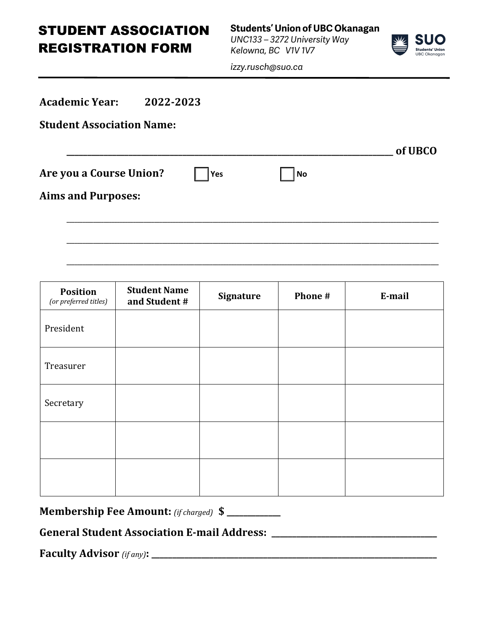# STUDENT ASSOCIATION REGISTRATION FORM

**Students' Union of UBC Okanagan** *UNC133 – 3272 University Way Kelowna, BC V1V 1V7*



*izzy.rusch@suo.ca*

| <b>Academic Year:</b><br>2022-2023 |     |           |         |
|------------------------------------|-----|-----------|---------|
| <b>Student Association Name:</b>   |     |           |         |
|                                    |     |           | of UBCO |
| Are you a Course Union?            | Yes | <b>No</b> |         |
| <b>Aims and Purposes:</b>          |     |           |         |
|                                    |     |           |         |
|                                    |     |           |         |
|                                    |     |           |         |

| <b>Position</b><br>(or preferred titles) | <b>Student Name</b><br>and Student # | <b>Signature</b> | Phone # | E-mail |
|------------------------------------------|--------------------------------------|------------------|---------|--------|
| President                                |                                      |                  |         |        |
| Treasurer                                |                                      |                  |         |        |
| Secretary                                |                                      |                  |         |        |
|                                          |                                      |                  |         |        |
|                                          |                                      |                  |         |        |

**Membership Fee Amount:** *(if charged)*  $\$$  \_\_\_\_\_\_\_\_\_

# General Student Association E-mail Address: **\_\_\_\_\_\_\_\_\_\_\_\_\_\_\_\_\_\_\_\_\_\_\_\_\_\_\_\_\_\_**

**Faculty Advisor** *(if any)***: \_\_\_\_\_\_\_\_\_\_\_\_\_\_\_\_\_\_\_\_\_\_\_\_\_\_\_\_\_\_\_\_\_\_\_\_\_\_\_\_\_\_\_\_\_\_\_\_\_\_\_\_\_\_\_\_\_\_\_\_\_\_\_\_\_\_\_\_\_**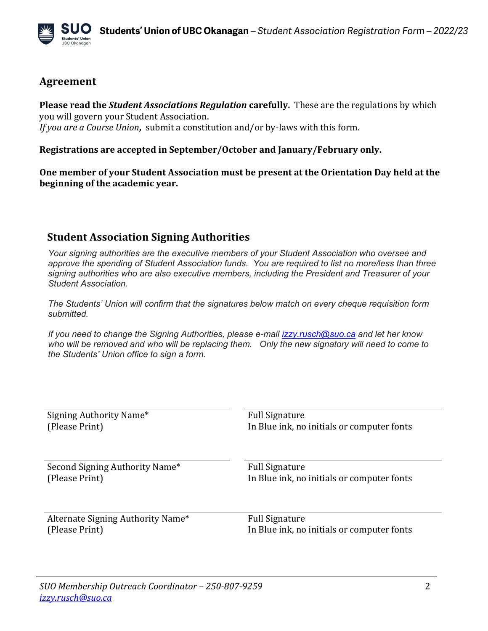

# **Agreement**

**Please read the** *Student Associations Regulation* **carefully.** These are the regulations by which you will govern your Student Association. *If you are a Course Union*, submit a constitution and/or by-laws with this form.

#### Registrations are accepted in September/October and January/February only.

**One member of your Student Association must be present at the Orientation Day held at the** beginning of the academic year.

### **Student Association Signing Authorities**

*Your signing authorities are the executive members of your Student Association who oversee and approve the spending of Student Association funds. You are required to list no more/less than three signing authorities who are also executive members, including the President and Treasurer of your Student Association.*

*The Students' Union will confirm that the signatures below match on every cheque requisition form submitted.*

*If you need to change the Signing Authorities, please e-mail izzy.rusch@suo.ca and let her know who will be removed and who will be replacing them. Only the new signatory will need to come to the Students' Union office to sign a form.*

| Signing Authority Name*           | <b>Full Signature</b>                      |  |  |
|-----------------------------------|--------------------------------------------|--|--|
| (Please Print)                    | In Blue ink, no initials or computer fonts |  |  |
|                                   |                                            |  |  |
|                                   |                                            |  |  |
| Second Signing Authority Name*    | <b>Full Signature</b>                      |  |  |
| (Please Print)                    | In Blue ink, no initials or computer fonts |  |  |
|                                   |                                            |  |  |
|                                   |                                            |  |  |
| Alternate Signing Authority Name* | <b>Full Signature</b>                      |  |  |
| (Please Print)                    | In Blue ink, no initials or computer fonts |  |  |